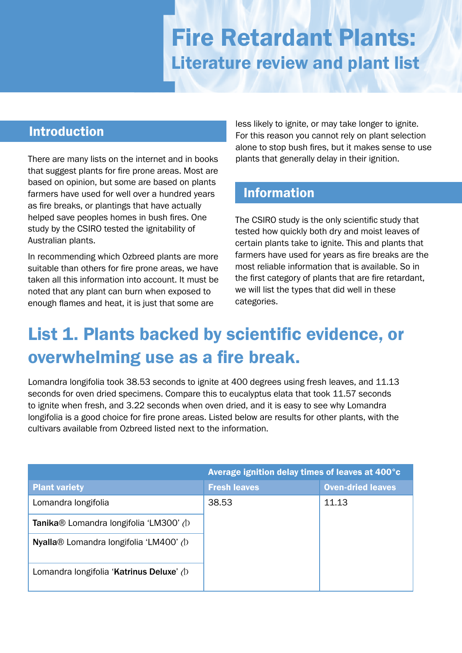# Fire Retardant Plants: Literature review and plant list

## Introduction

There are many lists on the internet and in books that suggest plants for fire prone areas. Most are based on opinion, but some are based on plants farmers have used for well over a hundred years as fire breaks, or plantings that have actually helped save peoples homes in bush fires. One study by the CSIRO tested the ignitability of Australian plants.

In recommending which Ozbreed plants are more suitable than others for fire prone areas, we have taken all this information into account. It must be noted that any plant can burn when exposed to enough flames and heat, it is just that some are

less likely to ignite, or may take longer to ignite. For this reason you cannot rely on plant selection alone to stop bush fires, but it makes sense to use plants that generally delay in their ignition.

### Information

The CSIRO study is the only scientific study that tested how quickly both dry and moist leaves of certain plants take to ignite. This and plants that farmers have used for years as fire breaks are the most reliable information that is available. So in the first category of plants that are fire retardant, we will list the types that did well in these categories.

## List 1. Plants backed by scientific evidence, or overwhelming use as a fire break.

Lomandra longifolia took 38.53 seconds to ignite at 400 degrees using fresh leaves, and 11.13 seconds for oven dried specimens. Compare this to eucalyptus elata that took 11.57 seconds to ignite when fresh, and 3.22 seconds when oven dried, and it is easy to see why Lomandra longifolia is a good choice for fire prone areas. Listed below are results for other plants, with the cultivars available from Ozbreed listed next to the information.

|                                               | Average ignition delay times of leaves at 400°c |                          |
|-----------------------------------------------|-------------------------------------------------|--------------------------|
| <b>Plant variety</b>                          | <b>Fresh leaves</b>                             | <b>Oven-dried leaves</b> |
| Lomandra longifolia                           | 38.53                                           | 11.13                    |
| <b>Tanika®</b> Lomandra longifolia 'LM300' (b |                                                 |                          |
| Nyalla® Lomandra longifolia 'LM400' (b        |                                                 |                          |
| Lomandra longifolia 'Katrinus Deluxe' (b      |                                                 |                          |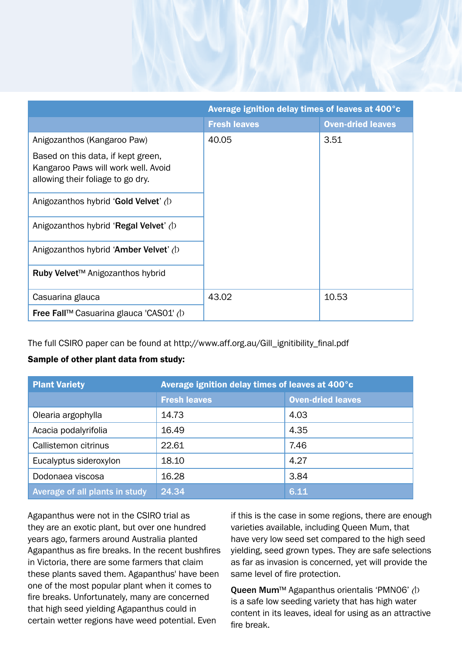|                                                                                                                | Average ignition delay times of leaves at 400°c |                          |
|----------------------------------------------------------------------------------------------------------------|-------------------------------------------------|--------------------------|
|                                                                                                                | <b>Fresh leaves</b>                             | <b>Oven-dried leaves</b> |
| Anigozanthos (Kangaroo Paw)                                                                                    | 40.05                                           | 3.51                     |
| Based on this data, if kept green,<br>Kangaroo Paws will work well. Avoid<br>allowing their foliage to go dry. |                                                 |                          |
| Anigozanthos hybrid 'Gold Velvet' $\Diamond$                                                                   |                                                 |                          |
| Anigozanthos hybrid 'Regal Velvet' $\Diamond$                                                                  |                                                 |                          |
| Anigozanthos hybrid 'Amber Velvet' $\Diamond$                                                                  |                                                 |                          |
| Ruby Velvet™ Anigozanthos hybrid                                                                               |                                                 |                          |
| Casuarina glauca                                                                                               | 43.02                                           | 10.53                    |
| <b>Free Fall™</b> Casuarina glauca 'CASO1' $\Diamond$                                                          |                                                 |                          |

The full CSIRO paper can be found at http://www.aff.org.au/Gill\_ignitibility\_final.pdf

#### Sample of other plant data from study:

| <b>Plant Variety</b>           | Average ignition delay times of leaves at 400°c |                          |
|--------------------------------|-------------------------------------------------|--------------------------|
|                                | <b>Fresh leaves</b>                             | <b>Oven-dried leaves</b> |
| Olearia argophylla             | 14.73                                           | 4.03                     |
| Acacia podalyrifolia           | 16.49                                           | 4.35                     |
| Callistemon citrinus           | 22.61                                           | 7.46                     |
| Eucalyptus sideroxylon         | 18.10                                           | 4.27                     |
| Dodonaea viscosa               | 16.28                                           | 3.84                     |
| Average of all plants in study | 24.34                                           | 6.11                     |

Agapanthus were not in the CSIRO trial as they are an exotic plant, but over one hundred years ago, farmers around Australia planted Agapanthus as fire breaks. In the recent bushfires in Victoria, there are some farmers that claim these plants saved them. Agapanthus' have been one of the most popular plant when it comes to fire breaks. Unfortunately, many are concerned that high seed yielding Agapanthus could in certain wetter regions have weed potential. Even

if this is the case in some regions, there are enough varieties available, including Queen Mum, that have very low seed set compared to the high seed yielding, seed grown types. They are safe selections as far as invasion is concerned, yet will provide the same level of fire protection.

Queen Mum<sup>™</sup> Agapanthus orientalis 'PMN06' (b is a safe low seeding variety that has high water content in its leaves, ideal for using as an attractive fire break.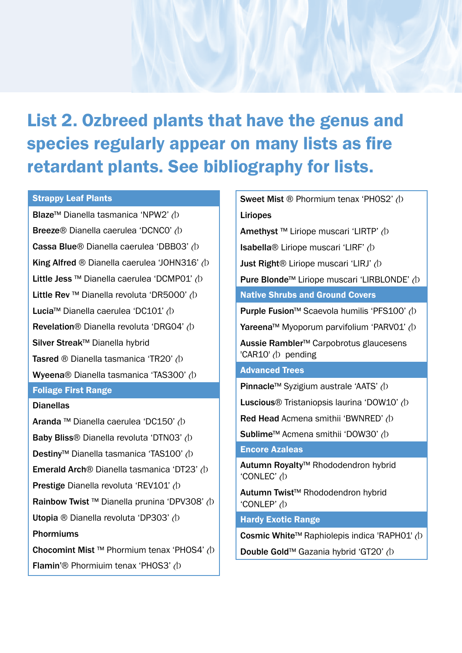## List 2. Ozbreed plants that have the genus and species regularly appear on many lists as fire retardant plants. See bibliography for lists.

#### Strappy Leaf Plants

Blaze<sup>™</sup> Dianella tasmanica 'NPW2'  $\Diamond$ Breeze® Dianella caerulea 'DCNC0' (D Cassa Blue® Dianella caerulea 'DBB03' (D King Alfred ® Dianella caerulea 'JOHN316' (b Little Jess ™ Dianella caerulea 'DCMP01' (D Little Rev™ Dianella revoluta 'DR5000' (b Lucia<sup>™</sup> Dianella caerulea 'DC101' /b Revelation® Dianella revoluta 'DRG04' (b Silver Streak™ Dianella hybrid **Tasred ® Dianella tasmanica 'TR20'**  $\Diamond$ Wyeena® Dianella tasmanica 'TAS300' (b Foliage First Range

#### **Dianellas**

Aranda ™ Dianella caerulea 'DC150' (b Baby Bliss® Dianella revoluta 'DTN03' (b Destiny<sup>™</sup> Dianella tasmanica 'TAS100' (D **Emerald Arch**® Dianella tasmanica 'DT23'  $\Diamond$ Prestige Dianella revoluta 'REV101' (D Rainbow Twist ™ Dianella prunina 'DPV308' (D Utopia ® Dianella revoluta 'DP303' (D Phormiums Chocomint Mist ™ Phormium tenax 'PHOS4' (D Flamin'® Phormiuim tenax 'PHOS3' (b

| <b>Sweet Mist ® Phormium tenax 'PHOS2' (D)</b>                           |  |  |  |
|--------------------------------------------------------------------------|--|--|--|
| Liriopes                                                                 |  |  |  |
| Amethyst ™ Liriope muscari 'LIRTP' (D                                    |  |  |  |
| Isabella® Liriope muscari 'LIRF' (D                                      |  |  |  |
| <b>Just Right</b> <sup>®</sup> Liriope muscari 'LIRJ' (D                 |  |  |  |
| Pure Blonde <sup>™</sup> Liriope muscari 'LIRBLONDE' (D                  |  |  |  |
| <b>Native Shrubs and Ground Covers</b>                                   |  |  |  |
| Purple Fusion <sup>™</sup> Scaevola humilis 'PFS100' (D                  |  |  |  |
| Yareena™ Myoporum parvifolium 'PARVO1' (D                                |  |  |  |
| Aussie Rambler <sup>™</sup> Carpobrotus glaucesens<br>'CAR10' (b pending |  |  |  |
| <b>Advanced Trees</b>                                                    |  |  |  |
| Pinnacle™ Syzigium australe 'AATS' (D                                    |  |  |  |
| Luscious <sup>®</sup> Tristaniopsis laurina 'DOW10' (b                   |  |  |  |
| Red Head Acmena smithii 'BWNRED' (b                                      |  |  |  |
| Sublime <sup>™</sup> Acmena smithii 'DOW30' (D                           |  |  |  |
| <b>Encore Azaleas</b>                                                    |  |  |  |
| Autumn Royalty <sup>™</sup> Rhododendron hybrid<br>'CONLEC' (b           |  |  |  |
| Autumn Twist™ Rhododendron hybrid<br>'CONLEP' (b                         |  |  |  |
| <b>Hardy Exotic Range</b>                                                |  |  |  |
| Cosmic White™ Raphiolepis indica 'RAPH01' (b                             |  |  |  |
| Double Gold™ Gazania hybrid 'GT20' (b                                    |  |  |  |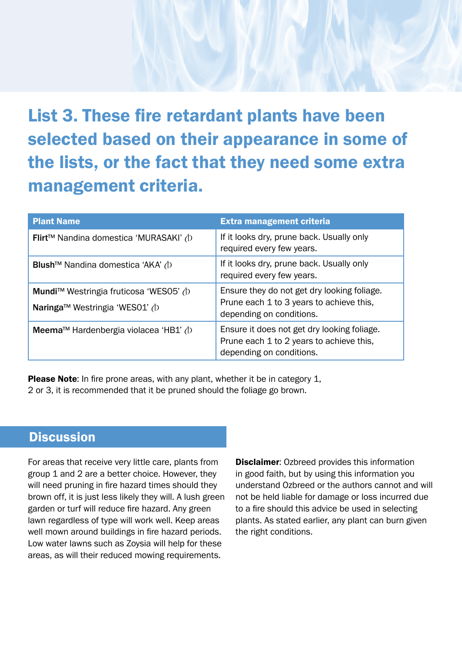## List 3. These fire retardant plants have been selected based on their appearance in some of the lists, or the fact that they need some extra management criteria.

| <b>Plant Name</b>                                                        | <b>Extra management criteria</b>                                                                                    |
|--------------------------------------------------------------------------|---------------------------------------------------------------------------------------------------------------------|
| Flirt™ Nandina domestica 'MURASAKI' (b                                   | If it looks dry, prune back. Usually only<br>required every few years.                                              |
| Blush <sup>™</sup> Nandina domestica 'AKA' (b                            | If it looks dry, prune back. Usually only<br>required every few years.                                              |
| Mundi™ Westringia fruticosa 'WES05' (b<br>Naringa™ Westringia 'WES01' (b | Ensure they do not get dry looking foliage.<br>Prune each 1 to 3 years to achieve this,<br>depending on conditions. |
| Meema™ Hardenbergia violacea 'HB1' (D                                    | Ensure it does not get dry looking foliage.<br>Prune each 1 to 2 years to achieve this,<br>depending on conditions. |

Please Note: In fire prone areas, with any plant, whether it be in category 1, 2 or 3, it is recommended that it be pruned should the foliage go brown.

### **Discussion**

For areas that receive very little care, plants from group 1 and 2 are a better choice. However, they will need pruning in fire hazard times should they brown off, it is just less likely they will. A lush green garden or turf will reduce fire hazard. Any green lawn regardless of type will work well. Keep areas well mown around buildings in fire hazard periods. Low water lawns such as Zoysia will help for these areas, as will their reduced mowing requirements.

**Disclaimer:** Ozbreed provides this information in good faith, but by using this information you understand Ozbreed or the authors cannot and will not be held liable for damage or loss incurred due to a fire should this advice be used in selecting plants. As stated earlier, any plant can burn given the right conditions.